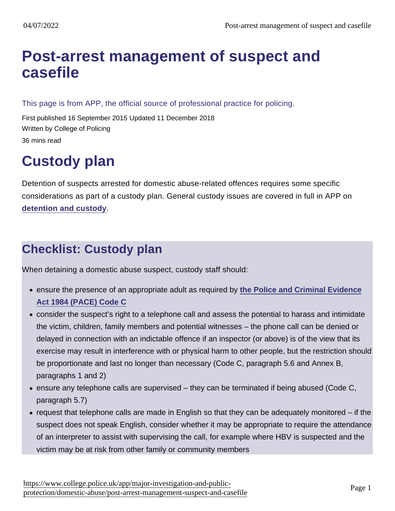# [Post-arrest management of suspect and](https://www.college.police.uk/app/major-investigation-and-public-protection/domestic-abuse/post-arrest-management-suspect-and-casefile) casefile

This page is from APP, the official source of professional practice for policing.

First published 16 September 2015 Updated 11 December 2018 Written by College of Policing 36 mins read

# Custody plan

Detention of suspects arrested for domestic abuse-related offences requires some specific considerations as part of a custody plan. General custody issues are covered in full in APP on [detention and custody](https://www.app.college.police.uk/app-content/detention-and-custody-2/?s=) .

# Checklist: Custody plan

When detaining a domestic abuse suspect, custody staff should:

- ensure the presence of an appropriate adult as required by [the Police and Criminal Evidence](https://www.gov.uk/government/uploads/system/uploads/attachment_data/file/364707/PaceCodeC2014.pdf) [Act 1984 \(PACE\) Code C](https://www.gov.uk/government/uploads/system/uploads/attachment_data/file/364707/PaceCodeC2014.pdf)
- consider the suspect's right to a telephone call and assess the potential to harass and intimidate the victim, children, family members and potential witnesses – the phone call can be denied or delayed in connection with an indictable offence if an inspector (or above) is of the view that its exercise may result in interference with or physical harm to other people, but the restriction should be proportionate and last no longer than necessary (Code C, paragraph 5.6 and Annex B, paragraphs 1 and 2)
- $\bullet$  ensure any telephone calls are supervised they can be terminated if being abused (Code C, paragraph 5.7)
- $\bullet$  request that telephone calls are made in English so that they can be adequately monitored if the suspect does not speak English, consider whether it may be appropriate to require the attendance of an interpreter to assist with supervising the call, for example where HBV is suspected and the victim may be at risk from other family or community members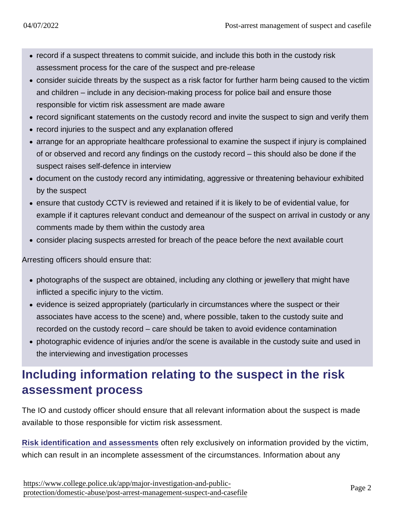- record if a suspect threatens to commit suicide, and include this both in the custody risk assessment process for the care of the suspect and pre-release
- consider suicide threats by the suspect as a risk factor for further harm being caused to the victim and children – include in any decision-making process for police bail and ensure those responsible for victim risk assessment are made aware
- record significant statements on the custody record and invite the suspect to sign and verify them
- record injuries to the suspect and any explanation offered
- arrange for an appropriate healthcare professional to examine the suspect if injury is complained of or observed and record any findings on the custody record – this should also be done if the suspect raises self-defence in interview
- document on the custody record any intimidating, aggressive or threatening behaviour exhibited by the suspect
- ensure that custody CCTV is reviewed and retained if it is likely to be of evidential value, for example if it captures relevant conduct and demeanour of the suspect on arrival in custody or any comments made by them within the custody area
- consider placing suspects arrested for breach of the peace before the next available court

Arresting officers should ensure that:

- photographs of the suspect are obtained, including any clothing or jewellery that might have inflicted a specific injury to the victim.
- evidence is seized appropriately (particularly in circumstances where the suspect or their associates have access to the scene) and, where possible, taken to the custody suite and recorded on the custody record – care should be taken to avoid evidence contamination
- photographic evidence of injuries and/or the scene is available in the custody suite and used in the interviewing and investigation processes

# Including information relating to the suspect in the risk assessment process

The IO and custody officer should ensure that all relevant information about the suspect is made available to those responsible for victim risk assessment.

[Risk identification and assessments](https://www.app.college.police.uk/app-content/major-investigation-and-public-protection/domestic-abuse/risk-and-vulnerability/#risk-identification-and-assessment) often rely exclusively on information provided by the victim, which can result in an incomplete assessment of the circumstances. Information about any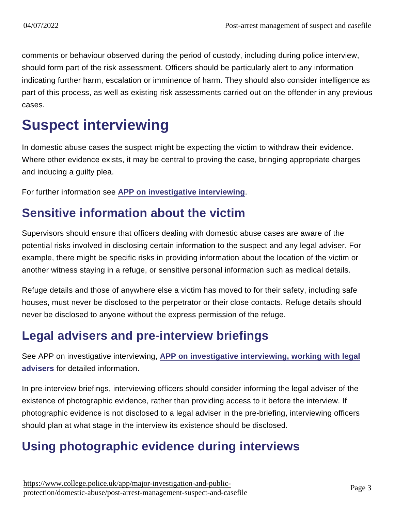comments or behaviour observed during the period of custody, including during police interview, should form part of the risk assessment. Officers should be particularly alert to any information indicating further harm, escalation or imminence of harm. They should also consider intelligence as part of this process, as well as existing risk assessments carried out on the offender in any previous cases.

# Suspect interviewing

In domestic abuse cases the suspect might be expecting the victim to withdraw their evidence. Where other evidence exists, it may be central to proving the case, bringing appropriate charges and inducing a guilty plea.

For further information see [APP on investigative interviewing](https://www.app.college.police.uk/app-content/investigations/investigative-interviewing/) .

# Sensitive information about the victim

Supervisors should ensure that officers dealing with domestic abuse cases are aware of the potential risks involved in disclosing certain information to the suspect and any legal adviser. For example, there might be specific risks in providing information about the location of the victim or another witness staying in a refuge, or sensitive personal information such as medical details.

Refuge details and those of anywhere else a victim has moved to for their safety, including safe houses, must never be disclosed to the perpetrator or their close contacts. Refuge details should never be disclosed to anyone without the express permission of the refuge.

# Legal advisers and pre-interview briefings

See APP on investigative interviewing, [APP on investigative interviewing, working with legal](https://www.app.college.police.uk/app-content/investigations/investigative-interviewing/#working-with-legal-advisers) [advisers](https://www.app.college.police.uk/app-content/investigations/investigative-interviewing/#working-with-legal-advisers) for detailed information.

In pre-interview briefings, interviewing officers should consider informing the legal adviser of the existence of photographic evidence, rather than providing access to it before the interview. If photographic evidence is not disclosed to a legal adviser in the pre-briefing, interviewing officers should plan at what stage in the interview its existence should be disclosed.

# Using photographic evidence during interviews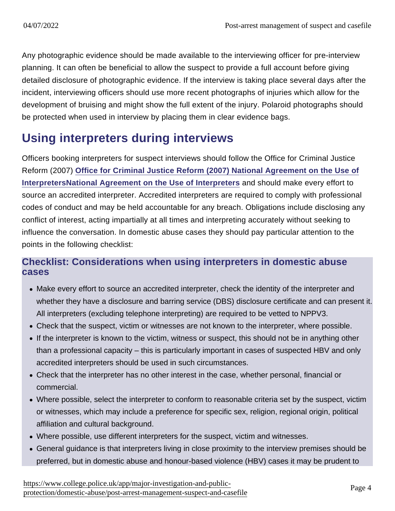Any photographic evidence should be made available to the interviewing officer for pre-interview planning. It can often be beneficial to allow the suspect to provide a full account before giving detailed disclosure of photographic evidence. If the interview is taking place several days after the incident, interviewing officers should use more recent photographs of injuries which allow for the development of bruising and might show the full extent of the injury. Polaroid photographs should be protected when used in interview by placing them in clear evidence bags.

# Using interpreters during interviews

Officers booking interpreters for suspect interviews should follow the Office for Criminal Justice Reform (2007) [Office for Criminal Justice Reform \(2007\) National Agreement on the Use of](http://webarchive.nationalarchives.gov.uk/20100920143552/http:/frontline.cjsonline.gov.uk/_includes/downloads/guidance/race-confidence-justice/National_Agreement_on_Use_of_Interpreters-August_2008.pdf) [InterpretersNational Agreement on the Use of Interpreters](http://webarchive.nationalarchives.gov.uk/20100920143552/http:/frontline.cjsonline.gov.uk/_includes/downloads/guidance/race-confidence-justice/National_Agreement_on_Use_of_Interpreters-August_2008.pdf) and should make every effort to source an accredited interpreter. Accredited interpreters are required to comply with professional codes of conduct and may be held accountable for any breach. Obligations include disclosing any conflict of interest, acting impartially at all times and interpreting accurately without seeking to influence the conversation. In domestic abuse cases they should pay particular attention to the points in the following checklist:

### Checklist: Considerations when using interpreters in domestic abuse cases

- Make every effort to source an accredited interpreter, check the identity of the interpreter and whether they have a disclosure and barring service (DBS) disclosure certificate and can present it. All interpreters (excluding telephone interpreting) are required to be vetted to NPPV3.
- Check that the suspect, victim or witnesses are not known to the interpreter, where possible.
- If the interpreter is known to the victim, witness or suspect, this should not be in anything other than a professional capacity – this is particularly important in cases of suspected HBV and only accredited interpreters should be used in such circumstances.
- Check that the interpreter has no other interest in the case, whether personal, financial or commercial.
- Where possible, select the interpreter to conform to reasonable criteria set by the suspect, victim or witnesses, which may include a preference for specific sex, religion, regional origin, political affiliation and cultural background.
- Where possible, use different interpreters for the suspect, victim and witnesses.
- General guidance is that interpreters living in close proximity to the interview premises should be preferred, but in domestic abuse and honour-based violence (HBV) cases it may be prudent to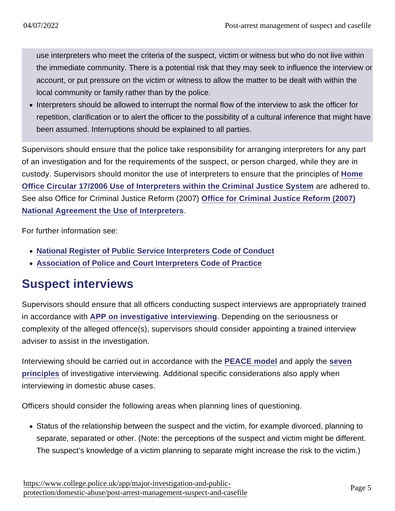use interpreters who meet the criteria of the suspect, victim or witness but who do not live within the immediate community. There is a potential risk that they may seek to influence the interview or account, or put pressure on the victim or witness to allow the matter to be dealt with within the local community or family rather than by the police.

Interpreters should be allowed to interrupt the normal flow of the interview to ask the officer for repetition, clarification or to alert the officer to the possibility of a cultural inference that might have been assumed. Interruptions should be explained to all parties.

Supervisors should ensure that the police take responsibility for arranging interpreters for any part of an investigation and for the requirements of the suspect, or person charged, while they are in custody. Supervisors should monitor the use of interpreters to ensure that the principles of [Home](https://www.gov.uk/government/publications/use-of-interpreters-within-the-criminal-justice-system) [Office Circular 17/2006 Use of Interpreters within the Criminal Justice System](https://www.gov.uk/government/publications/use-of-interpreters-within-the-criminal-justice-system) are adhered to. See also Office for Criminal Justice Reform (2007) [Office for Criminal Justice Reform \(2007\)](http://webarchive.nationalarchives.gov.uk/20100920143552/http:/frontline.cjsonline.gov.uk/_includes/downloads/guidance/race-confidence-justice/National_Agreement_on_Use_of_Interpreters-August_2008.pdf) [National Agreement the Use of Interpreters](http://webarchive.nationalarchives.gov.uk/20100920143552/http:/frontline.cjsonline.gov.uk/_includes/downloads/guidance/race-confidence-justice/National_Agreement_on_Use_of_Interpreters-August_2008.pdf) .

For further information see:

- [National Register of Public Service Interpreters Code of Conduct](http://www.nrpsi.org.uk/for-clients-of-interpreters/code-of-professional-conduct.html)
- [Association of Police and Court Interpreters Code of Practice](http://www.apciinterpreters.org.uk/apci_interpreters_code_of_practice.aspx)

## Suspect interviews

Supervisors should ensure that all officers conducting suspect interviews are appropriately trained in accordance with [APP on investigative interviewing](https://www.app.college.police.uk/app-content/investigations/investigative-interviewing/) . Depending on the seriousness or complexity of the alleged offence(s), supervisors should consider appointing a trained interview adviser to assist in the investigation.

Interviewing should be carried out in accordance with the [PEACE model](https://www.app.college.police.uk/app-content/investigations/investigative-interviewing/#peace-framework) and apply the [seven](https://www.app.college.police.uk/app-content/investigations/investigative-interviewing/#principles-and-ethics) [principles](https://www.app.college.police.uk/app-content/investigations/investigative-interviewing/#principles-and-ethics) of investigative interviewing. Additional specific considerations also apply when interviewing in domestic abuse cases.

Officers should consider the following areas when planning lines of questioning.

• Status of the relationship between the suspect and the victim, for example divorced, planning to separate, separated or other. (Note: the perceptions of the suspect and victim might be different. The suspect's knowledge of a victim planning to separate might increase the risk to the victim.)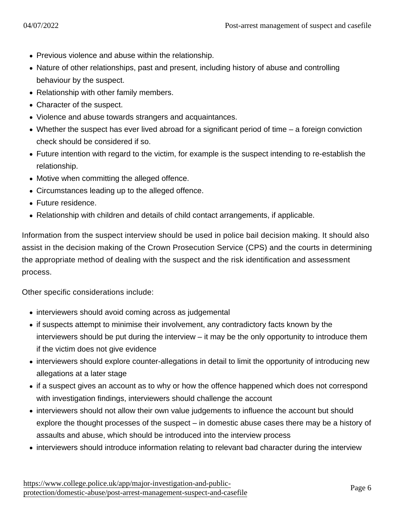- Previous violence and abuse within the relationship.
- Nature of other relationships, past and present, including history of abuse and controlling behaviour by the suspect.
- Relationship with other family members.
- Character of the suspect.
- Violence and abuse towards strangers and acquaintances.
- Whether the suspect has ever lived abroad for a significant period of time a foreign conviction check should be considered if so.
- Future intention with regard to the victim, for example is the suspect intending to re-establish the relationship.
- Motive when committing the alleged offence.
- Circumstances leading up to the alleged offence.
- Future residence.
- Relationship with children and details of child contact arrangements, if applicable.

Information from the suspect interview should be used in police bail decision making. It should also assist in the decision making of the Crown Prosecution Service (CPS) and the courts in determining the appropriate method of dealing with the suspect and the risk identification and assessment process.

Other specific considerations include:

- interviewers should avoid coming across as judgemental
- if suspects attempt to minimise their involvement, any contradictory facts known by the interviewers should be put during the interview – it may be the only opportunity to introduce them if the victim does not give evidence
- interviewers should explore counter-allegations in detail to limit the opportunity of introducing new allegations at a later stage
- if a suspect gives an account as to why or how the offence happened which does not correspond with investigation findings, interviewers should challenge the account
- interviewers should not allow their own value judgements to influence the account but should explore the thought processes of the suspect – in domestic abuse cases there may be a history of assaults and abuse, which should be introduced into the interview process
- interviewers should introduce information relating to relevant bad character during the interview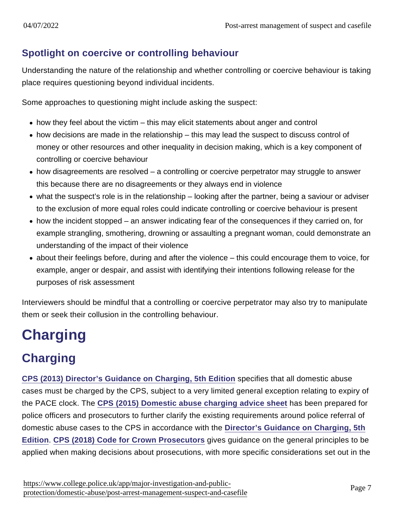### Spotlight on coercive or controlling behaviour

Understanding the nature of the relationship and whether controlling or coercive behaviour is taking place requires questioning beyond individual incidents.

Some approaches to questioning might include asking the suspect:

- $\bullet$  how they feel about the victim this may elicit statements about anger and control
- how decisions are made in the relationship this may lead the suspect to discuss control of money or other resources and other inequality in decision making, which is a key component of controlling or coercive behaviour
- how disagreements are resolved a controlling or coercive perpetrator may struggle to answer this because there are no disagreements or they always end in violence
- what the suspect's role is in the relationship looking after the partner, being a saviour or adviser to the exclusion of more equal roles could indicate controlling or coercive behaviour is present
- $\bullet$  how the incident stopped an answer indicating fear of the consequences if they carried on, for example strangling, smothering, drowning or assaulting a pregnant woman, could demonstrate an understanding of the impact of their violence
- about their feelings before, during and after the violence this could encourage them to voice, for example, anger or despair, and assist with identifying their intentions following release for the purposes of risk assessment

Interviewers should be mindful that a controlling or coercive perpetrator may also try to manipulate them or seek their collusion in the controlling behaviour.

# **Charging**

# **Charging**

[CPS \(2013\) Director's Guidance on Charging, 5th Edition](http://www.cps.gov.uk/publications/directors_guidance/dpp_guidance_5.html) specifies that all domestic abuse cases must be charged by the CPS, subject to a very limited general exception relating to expiry of the PACE clock. The [CPS \(2015\) Domestic abuse charging advice sheet](https://www.cps.gov.uk/publication/domestic-abuse-charging-advice-sheet) has been prepared for police officers and prosecutors to further clarify the existing requirements around police referral of domestic abuse cases to the CPS in accordance with the [Director's Guidance on Charging, 5th](http://www.cps.gov.uk/publications/directors_guidance/dpp_guidance_5.html#) [Edition](http://www.cps.gov.uk/publications/directors_guidance/dpp_guidance_5.html#) . [CPS \(2018\) Code for Crown Prosecutors](https://www.cps.gov.uk/publication/code-crown-prosecutors) gives guidance on the general principles to be applied when making decisions about prosecutions, with more specific considerations set out in the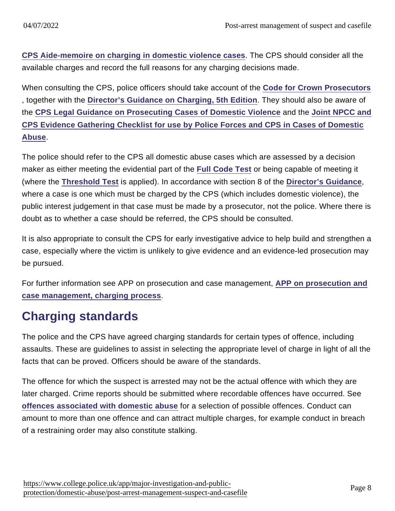[CPS Aide-memoire on charging in domestic violence cases](http://www.cps.gov.uk/legal/d_to_g/domestic_abuse_guidelines_for_prosecutors/#a91) . The CPS should consider all the available charges and record the full reasons for any charging decisions made.

When consulting the CPS, police officers should take account of the [Code for Crown Prosecutors](https://www.cps.gov.uk/publication/code-crown-prosecutors) , together with the [Director's Guidance on Charging, 5th Edition](http://www.cps.gov.uk/publications/directors_guidance/dpp_guidance_5.html) . They should also be aware of the [CPS Legal Guidance on Prosecuting Cases of Domestic Violence](http://www.cps.gov.uk/publications/prosecution/domestic/domv.html) and the [Joint NPCC and](http://www.cps.gov.uk/legal/d_to_g/domestic_abuse_guidelines_for_prosecutors/#a90) [CPS Evidence Gathering Checklist for use by Police Forces and CPS in Cases of Domestic](http://www.cps.gov.uk/legal/d_to_g/domestic_abuse_guidelines_for_prosecutors/#a90) [Abuse](http://www.cps.gov.uk/legal/d_to_g/domestic_abuse_guidelines_for_prosecutors/#a90) .

The police should refer to the CPS all domestic abuse cases which are assessed by a decision maker as either meeting the evidential part of the [Full Code Test](http://www.cps.gov.uk/publications/code_for_crown_prosecutors/codetest.html) or being capable of meeting it (where the [Threshold Test](http://www.cps.gov.uk/publications/code_for_crown_prosecutors/threshold.html) is applied). In accordance with section 8 of the [Director's Guidance](http://www.cps.gov.uk/publications/directors_guidance/dpp_guidance_5.html#a15) , where a case is one which must be charged by the CPS (which includes domestic violence), the public interest judgement in that case must be made by a prosecutor, not the police. Where there is doubt as to whether a case should be referred, the CPS should be consulted.

It is also appropriate to consult the CPS for early investigative advice to help build and strengthen a case, especially where the victim is unlikely to give evidence and an evidence-led prosecution may be pursued.

For further information see APP on prosecution and case management, [APP on prosecution and](https://www.app.college.police.uk/app-content/prosecution-and-case-management/charging-and-case-preparation/#charging-process) [case management, charging process](https://www.app.college.police.uk/app-content/prosecution-and-case-management/charging-and-case-preparation/#charging-process) .

# Charging standards

The police and the CPS have agreed charging standards for certain types of offence, including assaults. These are guidelines to assist in selecting the appropriate level of charge in light of all the facts that can be proved. Officers should be aware of the standards.

The offence for which the suspect is arrested may not be the actual offence with which they are later charged. Crime reports should be submitted where recordable offences have occurred. See [offences associated with domestic abuse](https://www.app.college.police.uk/app-content/major-investigation-and-public-protection/domestic-abuse/context/#offences-associated-with-domestic-abuse) for a selection of possible offences. Conduct can amount to more than one offence and can attract multiple charges, for example conduct in breach of a restraining order may also constitute stalking.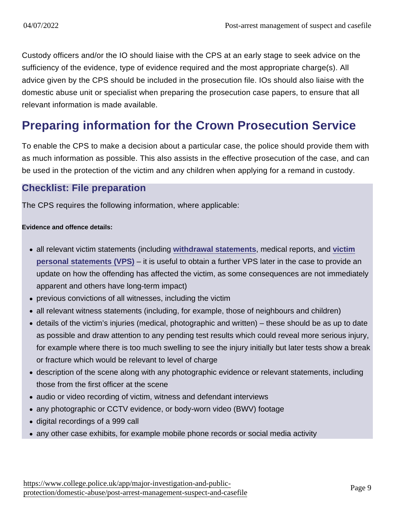Custody officers and/or the IO should liaise with the CPS at an early stage to seek advice on the sufficiency of the evidence, type of evidence required and the most appropriate charge(s). All advice given by the CPS should be included in the prosecution file. IOs should also liaise with the domestic abuse unit or specialist when preparing the prosecution case papers, to ensure that all relevant information is made available.

# Preparing information for the Crown Prosecution Service

To enable the CPS to make a decision about a particular case, the police should provide them with as much information as possible. This also assists in the effective prosecution of the case, and can be used in the protection of the victim and any children when applying for a remand in custody.

#### Checklist: File preparation

The CPS requires the following information, where applicable:

Evidence and offence details:

- all relevant victim statements (including [withdrawal statements](https://www.app.college.police.uk/app-content/major-investigation-and-public-protection/domestic-abuse/victim-safety-and-support/#withdrawal), medical reports, and [victim](https://www.app.college.police.uk/app-content/major-investigation-and-public-protection/domestic-abuse/victim-safety-and-support/#victim-personal-statement) [personal statements \(VPS\)](https://www.app.college.police.uk/app-content/major-investigation-and-public-protection/domestic-abuse/victim-safety-and-support/#victim-personal-statement) – it is useful to obtain a further VPS later in the case to provide an update on how the offending has affected the victim, as some consequences are not immediately apparent and others have long-term impact)
- previous convictions of all witnesses, including the victim
- all relevant witness statements (including, for example, those of neighbours and children)
- details of the victim's injuries (medical, photographic and written) these should be as up to date as possible and draw attention to any pending test results which could reveal more serious injury, for example where there is too much swelling to see the injury initially but later tests show a break or fracture which would be relevant to level of charge
- description of the scene along with any photographic evidence or relevant statements, including those from the first officer at the scene
- audio or video recording of victim, witness and defendant interviews
- any photographic or CCTV evidence, or body-worn video (BWV) footage
- digital recordings of a 999 call
- any other case exhibits, for example mobile phone records or social media activity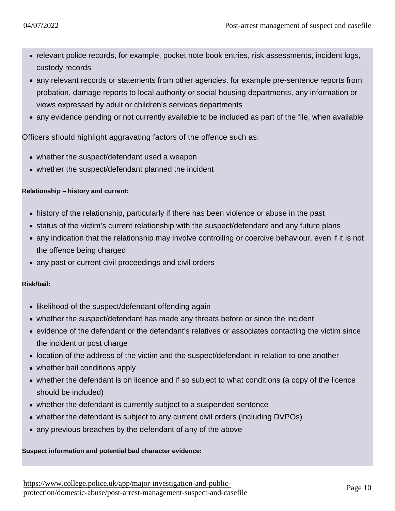- relevant police records, for example, pocket note book entries, risk assessments, incident logs, custody records
- any relevant records or statements from other agencies, for example pre-sentence reports from probation, damage reports to local authority or social housing departments, any information or views expressed by adult or children's services departments
- any evidence pending or not currently available to be included as part of the file, when available

Officers should highlight aggravating factors of the offence such as:

- whether the suspect/defendant used a weapon
- whether the suspect/defendant planned the incident

Relationship – history and current:

- history of the relationship, particularly if there has been violence or abuse in the past
- status of the victim's current relationship with the suspect/defendant and any future plans
- any indication that the relationship may involve controlling or coercive behaviour, even if it is not the offence being charged
- any past or current civil proceedings and civil orders

Risk/bail:

- likelihood of the suspect/defendant offending again
- whether the suspect/defendant has made any threats before or since the incident
- evidence of the defendant or the defendant's relatives or associates contacting the victim since the incident or post charge
- location of the address of the victim and the suspect/defendant in relation to one another
- whether bail conditions apply
- whether the defendant is on licence and if so subject to what conditions (a copy of the licence should be included)
- whether the defendant is currently subject to a suspended sentence
- whether the defendant is subject to any current civil orders (including DVPOs)
- any previous breaches by the defendant of any of the above

Suspect information and potential bad character evidence: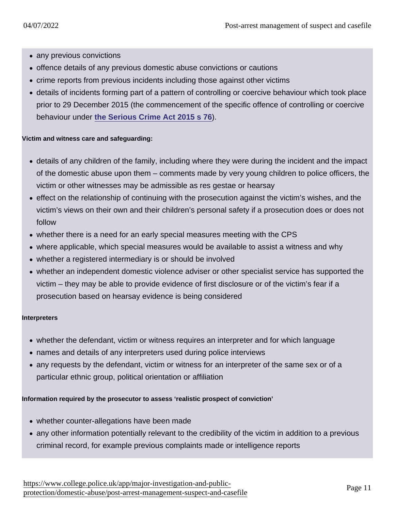- any previous convictions
- offence details of any previous domestic abuse convictions or cautions
- crime reports from previous incidents including those against other victims
- details of incidents forming part of a pattern of controlling or coercive behaviour which took place prior to 29 December 2015 (the commencement of the specific offence of controlling or coercive behaviour under [the Serious Crime Act 2015 s 76](http://www.legislation.gov.uk/ukpga/2015/9/section/76) ).

Victim and witness care and safeguarding:

- details of any children of the family, including where they were during the incident and the impact of the domestic abuse upon them – comments made by very young children to police officers, the victim or other witnesses may be admissible as res gestae or hearsay
- effect on the relationship of continuing with the prosecution against the victim's wishes, and the victim's views on their own and their children's personal safety if a prosecution does or does not follow
- whether there is a need for an early special measures meeting with the CPS
- where applicable, which special measures would be available to assist a witness and why
- whether a registered intermediary is or should be involved
- whether an independent domestic violence adviser or other specialist service has supported the victim – they may be able to provide evidence of first disclosure or of the victim's fear if a prosecution based on hearsay evidence is being considered

#### Interpreters

- whether the defendant, victim or witness requires an interpreter and for which language
- names and details of any interpreters used during police interviews
- any requests by the defendant, victim or witness for an interpreter of the same sex or of a particular ethnic group, political orientation or affiliation

Information required by the prosecutor to assess 'realistic prospect of conviction'

- whether counter-allegations have been made
- any other information potentially relevant to the credibility of the victim in addition to a previous criminal record, for example previous complaints made or intelligence reports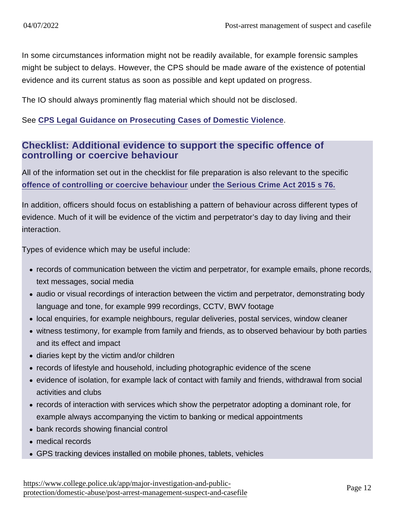In some circumstances information might not be readily available, for example forensic samples might be subject to delays. However, the CPS should be made aware of the existence of potential evidence and its current status as soon as possible and kept updated on progress.

The IO should always prominently flag material which should not be disclosed.

See [CPS Legal Guidance on Prosecuting Cases of Domestic Violence](http://www.cps.gov.uk/publications/prosecution/domestic/domv.html)

#### Checklist: Additional evidence to support the specific offence of controlling or coercive behaviour

All of the information set out in the checklist for file preparation is also relevant to the specific [offence of controlling or coercive behaviour](https://www.app.college.police.uk/app-content/major-investigation-and-public-protection/domestic-abuse/context/#the-offence-of-controlling-or-coercive-behaviour-in-an-intimate-or-family-relationship) under [the Serious Crime Act 2015 s 76.](http://www.legislation.gov.uk/ukpga/2015/9/section/76)

In addition, officers should focus on establishing a pattern of behaviour across different types of evidence. Much of it will be evidence of the victim and perpetrator's day to day living and their interaction.

Types of evidence which may be useful include:

- records of communication between the victim and perpetrator, for example emails, phone records, text messages, social media
- audio or visual recordings of interaction between the victim and perpetrator, demonstrating body language and tone, for example 999 recordings, CCTV, BWV footage
- local enquiries, for example neighbours, regular deliveries, postal services, window cleaner
- witness testimony, for example from family and friends, as to observed behaviour by both parties and its effect and impact
- diaries kept by the victim and/or children
- records of lifestyle and household, including photographic evidence of the scene
- evidence of isolation, for example lack of contact with family and friends, withdrawal from social activities and clubs
- records of interaction with services which show the perpetrator adopting a dominant role, for example always accompanying the victim to banking or medical appointments
- bank records showing financial control
- medical records
- GPS tracking devices installed on mobile phones, tablets, vehicles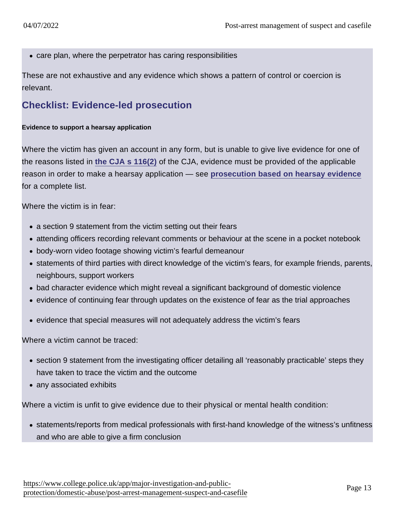care plan, where the perpetrator has caring responsibilities

These are not exhaustive and any evidence which shows a pattern of control or coercion is relevant.

### Checklist: Evidence-led prosecution

Evidence to support a hearsay application

Where the victim has given an account in any form, but is unable to give live evidence for one of the reasons listed in [the CJA s 116\(2\)](http://www.legislation.gov.uk/ukpga/2003/44/section/116) of the CJA, evidence must be provided of the applicable reason in order to make a hearsay application — see [prosecution based on hearsay evidence](https://www.app.college.police.uk/app-content/major-investigation-and-public-protection/domestic-abuse/investigative-development/#prosecution-based-on-hearsay-evidence) for a complete list.

Where the victim is in fear:

- a section 9 statement from the victim setting out their fears
- attending officers recording relevant comments or behaviour at the scene in a pocket notebook
- body-worn video footage showing victim's fearful demeanour
- statements of third parties with direct knowledge of the victim's fears, for example friends, parents, neighbours, support workers
- bad character evidence which might reveal a significant background of domestic violence
- evidence of continuing fear through updates on the existence of fear as the trial approaches
- evidence that special measures will not adequately address the victim's fears

Where a victim cannot be traced:

- section 9 statement from the investigating officer detailing all 'reasonably practicable' steps they have taken to trace the victim and the outcome
- any associated exhibits

Where a victim is unfit to give evidence due to their physical or mental health condition:

statements/reports from medical professionals with first-hand knowledge of the witness's unfitness and who are able to give a firm conclusion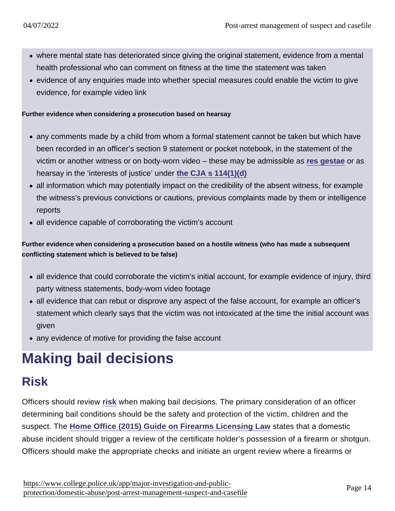- where mental state has deteriorated since giving the original statement, evidence from a mental health professional who can comment on fitness at the time the statement was taken
- evidence of any enquiries made into whether special measures could enable the victim to give evidence, for example video link

Further evidence when considering a prosecution based on hearsay

- any comments made by a child from whom a formal statement cannot be taken but which have been recorded in an officer's section 9 statement or pocket notebook, in the statement of the victim or another witness or on body-worn video – these may be admissible as [res gestae](https://www.app.college.police.uk/app-content/major-investigation-and-public-protection/domestic-abuse/investigative-development/#res-gestae) or as hearsay in the 'interests of justice' under [the CJA s 114\(1\)\(d\)](http://www.legislation.gov.uk/ukpga/2003/44/section/114)
- all information which may potentially impact on the credibility of the absent witness, for example the witness's previous convictions or cautions, previous complaints made by them or intelligence reports
- all evidence capable of corroborating the victim's account

Further evidence when considering a prosecution based on a hostile witness (who has made a subsequent conflicting statement which is believed to be false)

- all evidence that could corroborate the victim's initial account, for example evidence of injury, third party witness statements, body-worn video footage
- all evidence that can rebut or disprove any aspect of the false account, for example an officer's statement which clearly says that the victim was not intoxicated at the time the initial account was given
- any evidence of motive for providing the false account

# Making bail decisions

# Risk

Officers should review [risk](https://www.app.college.police.uk/app-content/major-investigation-and-public-protection/domestic-abuse/risk-and-vulnerability/) when making bail decisions. The primary consideration of an officer determining bail conditions should be the safety and protection of the victim, children and the suspect. The [Home Office \(2015\) Guide on Firearms Licensing Law](https://www.gov.uk/government/uploads/system/uploads/attachment_data/file/417199/Guidance_on_Firearms_Licensing_Law_v13.pdf#page=99) states that a domestic abuse incident should trigger a review of the certificate holder's possession of a firearm or shotgun. Officers should make the appropriate checks and initiate an urgent review where a firearms or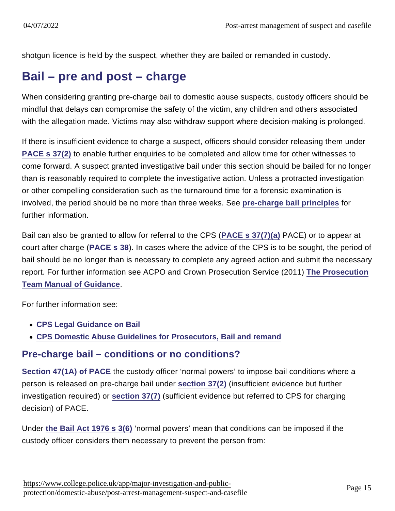shotgun licence is held by the suspect, whether they are bailed or remanded in custody.

## Bail – pre and post – charge

When considering granting pre-charge bail to domestic abuse suspects, custody officers should be mindful that delays can compromise the safety of the victim, any children and others associated with the allegation made. Victims may also withdraw support where decision-making is prolonged.

If there is insufficient evidence to charge a suspect, officers should consider releasing them under [PACE s 37\(2\)](http://www.legislation.gov.uk/ukpga/1984/60/section/37) to enable further enquiries to be completed and allow time for other witnesses to come forward. A suspect granted investigative bail under this section should be bailed for no longer than is reasonably required to complete the investigative action. Unless a protracted investigation or other compelling consideration such as the turnaround time for a forensic examination is involved, the period should be no more than three weeks. See [pre-charge bail principles](https://www.app.college.police.uk/app-content/detention-and-custody-2/arrest-detention-transportation/#pre-charge-bail-management) for further information.

Bail can also be granted to allow for referral to the CPS ([PACE s 37\(7\)\(a\)](http://www.legislation.gov.uk/ukpga/1984/60/section/37) PACE) or to appear at court after charge [\(PACE s 38\)](http://www.legislation.gov.uk/ukpga/1984/60/section/38). In cases where the advice of the CPS is to be sought, the period of bail should be no longer than is necessary to complete any agreed action and submit the necessary report. For further information see ACPO and Crown Prosecution Service (2011) [The Prosecution](http://library.college.police.uk/docs/appref/MoG-final-2011-july.pdf) [Team Manual of Guidance](http://library.college.police.uk/docs/appref/MoG-final-2011-july.pdf) .

For further information see:

- [CPS Legal Guidance on Bail](http://www.cps.gov.uk/legal/a_to_c/bail/)
- [CPS Domestic Abuse Guidelines for Prosecutors, Bail and remand](http://www.cps.gov.uk/legal/d_to_g/domestic_abuse_guidelines_for_prosecutors/#a28)

### Pre-charge bail – conditions or no conditions?

[Section 47\(1A\) of PACE](http://www.legislation.gov.uk/ukpga/1984/60/section/47) the custody officer 'normal powers' to impose bail conditions where a person is released on pre-charge bail under [section 37\(2\)](https://www.college.police.ukblank) (insufficient evidence but further investigation required) or [section 37\(7\)](https://www.college.police.ukblank) (sufficient evidence but referred to CPS for charging decision) of PACE.

Under [the Bail Act 1976 s 3\(6\)](http://www.legislation.gov.uk/ukpga/1976/63/section/3) 'normal powers' mean that conditions can be imposed if the custody officer considers them necessary to prevent the person from: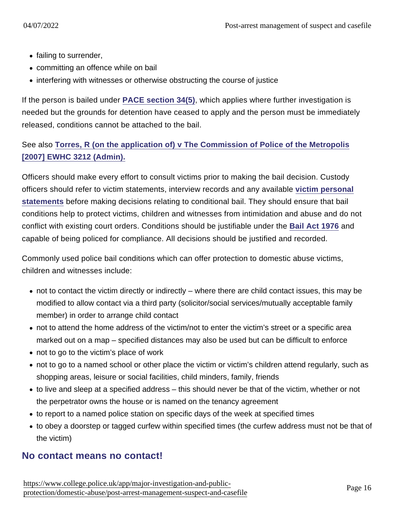- failing to surrender,
- committing an offence while on bail
- interfering with witnesses or otherwise obstructing the course of justice

If the person is bailed under [PACE section 34\(5\)](http://www.legislation.gov.uk/ukpga/1984/60/section/34) , which applies where further investigation is needed but the grounds for detention have ceased to apply and the person must be immediately released, conditions cannot be attached to the bail.

See also [Torres, R \(on the application of\) v The Commission of Police of the Metropolis](http://www.bailii.org/ew/cases/EWHC/Admin/2007/3212.html) [\[2007\] EWHC 3212 \(Admin\).](http://www.bailii.org/ew/cases/EWHC/Admin/2007/3212.html)

Officers should make every effort to consult victims prior to making the bail decision. Custody officers should refer to victim statements, interview records and any available [victim personal](https://www.app.college.police.uk/app-content/major-investigation-and-public-protection/domestic-abuse/victim-safety-and-support/#victim-personal-statement) [statements](https://www.app.college.police.uk/app-content/major-investigation-and-public-protection/domestic-abuse/victim-safety-and-support/#victim-personal-statement) before making decisions relating to conditional bail. They should ensure that bail conditions help to protect victims, children and witnesses from intimidation and abuse and do not conflict with existing court orders. Conditions should be justifiable under the [Bail Act 1976](http://www.legislation.gov.uk/ukpga/1976/63) and capable of being policed for compliance. All decisions should be justified and recorded.

Commonly used police bail conditions which can offer protection to domestic abuse victims, children and witnesses include:

- not to contact the victim directly or indirectly where there are child contact issues, this may be modified to allow contact via a third party (solicitor/social services/mutually acceptable family member) in order to arrange child contact
- not to attend the home address of the victim/not to enter the victim's street or a specific area marked out on a map – specified distances may also be used but can be difficult to enforce
- not to go to the victim's place of work
- not to go to a named school or other place the victim or victim's children attend regularly, such as shopping areas, leisure or social facilities, child minders, family, friends
- to live and sleep at a specified address this should never be that of the victim, whether or not the perpetrator owns the house or is named on the tenancy agreement
- to report to a named police station on specific days of the week at specified times
- to obey a doorstep or tagged curfew within specified times (the curfew address must not be that of the victim)

#### No contact means no contact!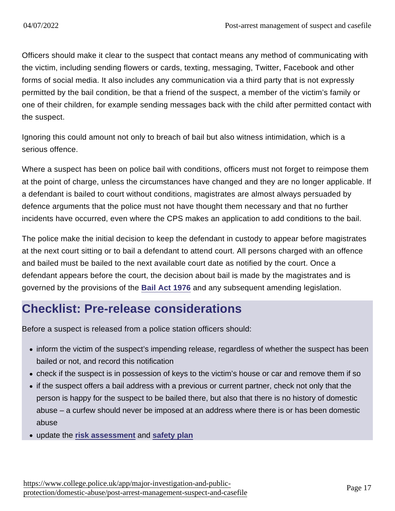Officers should make it clear to the suspect that contact means any method of communicating with the victim, including sending flowers or cards, texting, messaging, Twitter, Facebook and other forms of social media. It also includes any communication via a third party that is not expressly permitted by the bail condition, be that a friend of the suspect, a member of the victim's family or one of their children, for example sending messages back with the child after permitted contact with the suspect.

Ignoring this could amount not only to breach of bail but also witness intimidation, which is a serious offence.

Where a suspect has been on police bail with conditions, officers must not forget to reimpose them at the point of charge, unless the circumstances have changed and they are no longer applicable. If a defendant is bailed to court without conditions, magistrates are almost always persuaded by defence arguments that the police must not have thought them necessary and that no further incidents have occurred, even where the CPS makes an application to add conditions to the bail.

The police make the initial decision to keep the defendant in custody to appear before magistrates at the next court sitting or to bail a defendant to attend court. All persons charged with an offence and bailed must be bailed to the next available court date as notified by the court. Once a defendant appears before the court, the decision about bail is made by the magistrates and is governed by the provisions of the [Bail Act 1976](http://www.legislation.gov.uk/ukpga/1976/63/contents) and any subsequent amending legislation.

## Checklist: Pre-release considerations

Before a suspect is released from a police station officers should:

- inform the victim of the suspect's impending release, regardless of whether the suspect has been bailed or not, and record this notification
- check if the suspect is in possession of keys to the victim's house or car and remove them if so
- if the suspect offers a bail address with a previous or current partner, check not only that the person is happy for the suspect to be bailed there, but also that there is no history of domestic abuse – a curfew should never be imposed at an address where there is or has been domestic abuse
- update the [risk assessment](https://www.app.college.police.uk/app-content/major-investigation-and-public-protection/domestic-abuse/risk-and-vulnerability/#risk-identification-and-assessment) and [safety plan](https://www.app.college.police.uk/app-content/major-investigation-and-public-protection/domestic-abuse/victim-safety-and-support/#developing-safety-plans)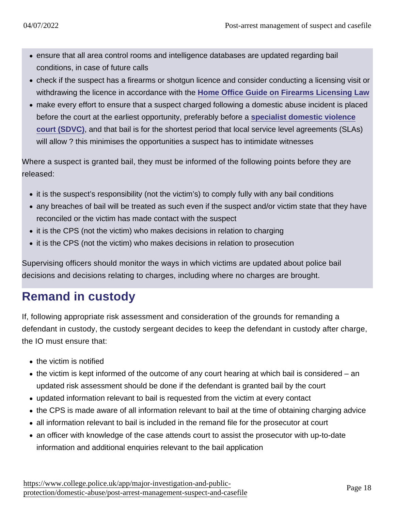- ensure that all area control rooms and intelligence databases are updated regarding bail conditions, in case of future calls
- check if the suspect has a firearms or shotgun licence and consider conducting a licensing visit or withdrawing the licence in accordance with the [Home Office Guide on Firearms Licensing Law](https://www.gov.uk/government/uploads/system/uploads/attachment_data/file/417199/Guidance_on_Firearms_Licensing_Law_v13.pdf#page=99)
- make every effort to ensure that a suspect charged following a domestic abuse incident is placed before the court at the earliest opportunity, preferably before a [specialist domestic violence](https://www.app.college.police.uk/app-content/major-investigation-and-public-protection/domestic-abuse/partnership-working-and-multi-agency-responses/#specialist-domestic-violence-court-systems) [court \(SDVC\)](https://www.app.college.police.uk/app-content/major-investigation-and-public-protection/domestic-abuse/partnership-working-and-multi-agency-responses/#specialist-domestic-violence-court-systems) , and that bail is for the shortest period that local service level agreements (SLAs) will allow ? this minimises the opportunities a suspect has to intimidate witnesses

Where a suspect is granted bail, they must be informed of the following points before they are released:

- it is the suspect's responsibility (not the victim's) to comply fully with any bail conditions
- any breaches of bail will be treated as such even if the suspect and/or victim state that they have reconciled or the victim has made contact with the suspect
- it is the CPS (not the victim) who makes decisions in relation to charging
- it is the CPS (not the victim) who makes decisions in relation to prosecution

Supervising officers should monitor the ways in which victims are updated about police bail decisions and decisions relating to charges, including where no charges are brought.

# Remand in custody

If, following appropriate risk assessment and consideration of the grounds for remanding a defendant in custody, the custody sergeant decides to keep the defendant in custody after charge, the IO must ensure that:

- the victim is notified
- the victim is kept informed of the outcome of any court hearing at which bail is considered an updated risk assessment should be done if the defendant is granted bail by the court
- updated information relevant to bail is requested from the victim at every contact
- the CPS is made aware of all information relevant to bail at the time of obtaining charging advice
- all information relevant to bail is included in the remand file for the prosecutor at court
- an officer with knowledge of the case attends court to assist the prosecutor with up-to-date information and additional enquiries relevant to the bail application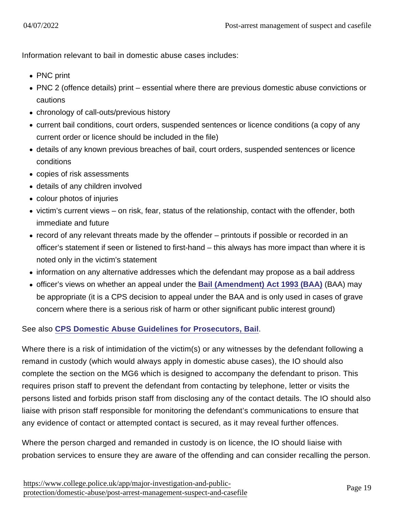Information relevant to bail in domestic abuse cases includes:

- PNC print
- PNC 2 (offence details) print essential where there are previous domestic abuse convictions or cautions
- chronology of call-outs/previous history
- current bail conditions, court orders, suspended sentences or licence conditions (a copy of any current order or licence should be included in the file)
- details of any known previous breaches of bail, court orders, suspended sentences or licence conditions
- copies of risk assessments
- details of any children involved
- colour photos of injuries
- victim's current views on risk, fear, status of the relationship, contact with the offender, both immediate and future
- record of any relevant threats made by the offender printouts if possible or recorded in an officer's statement if seen or listened to first-hand – this always has more impact than where it is noted only in the victim's statement
- information on any alternative addresses which the defendant may propose as a bail address
- officer's views on whether an appeal under the [Bail \(Amendment\) Act 1993 \(BAA\)](http://www.legislation.gov.uk/ukpga/1993/26/contents) (BAA) may be appropriate (it is a CPS decision to appeal under the BAA and is only used in cases of grave concern where there is a serious risk of harm or other significant public interest ground)

See also [CPS Domestic Abuse Guidelines for Prosecutors, Bail](http://www.cps.gov.uk/legal/d_to_g/domestic_abuse_guidelines_for_prosecutors/#a29)

Where there is a risk of intimidation of the victim(s) or any witnesses by the defendant following a remand in custody (which would always apply in domestic abuse cases), the IO should also complete the section on the MG6 which is designed to accompany the defendant to prison. This requires prison staff to prevent the defendant from contacting by telephone, letter or visits the persons listed and forbids prison staff from disclosing any of the contact details. The IO should also liaise with prison staff responsible for monitoring the defendant's communications to ensure that any evidence of contact or attempted contact is secured, as it may reveal further offences.

Where the person charged and remanded in custody is on licence, the IO should liaise with probation services to ensure they are aware of the offending and can consider recalling the person.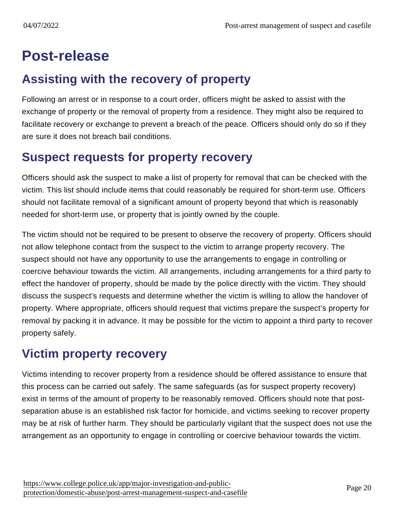# Post-release

## Assisting with the recovery of property

Following an arrest or in response to a court order, officers might be asked to assist with the exchange of property or the removal of property from a residence. They might also be required to facilitate recovery or exchange to prevent a breach of the peace. Officers should only do so if they are sure it does not breach bail conditions.

## Suspect requests for property recovery

Officers should ask the suspect to make a list of property for removal that can be checked with the victim. This list should include items that could reasonably be required for short-term use. Officers should not facilitate removal of a significant amount of property beyond that which is reasonably needed for short-term use, or property that is jointly owned by the couple.

The victim should not be required to be present to observe the recovery of property. Officers should not allow telephone contact from the suspect to the victim to arrange property recovery. The suspect should not have any opportunity to use the arrangements to engage in controlling or coercive behaviour towards the victim. All arrangements, including arrangements for a third party to effect the handover of property, should be made by the police directly with the victim. They should discuss the suspect's requests and determine whether the victim is willing to allow the handover of property. Where appropriate, officers should request that victims prepare the suspect's property for removal by packing it in advance. It may be possible for the victim to appoint a third party to recover property safely.

## Victim property recovery

Victims intending to recover property from a residence should be offered assistance to ensure that this process can be carried out safely. The same safeguards (as for suspect property recovery) exist in terms of the amount of property to be reasonably removed. Officers should note that postseparation abuse is an established risk factor for homicide, and victims seeking to recover property may be at risk of further harm. They should be particularly vigilant that the suspect does not use the arrangement as an opportunity to engage in controlling or coercive behaviour towards the victim.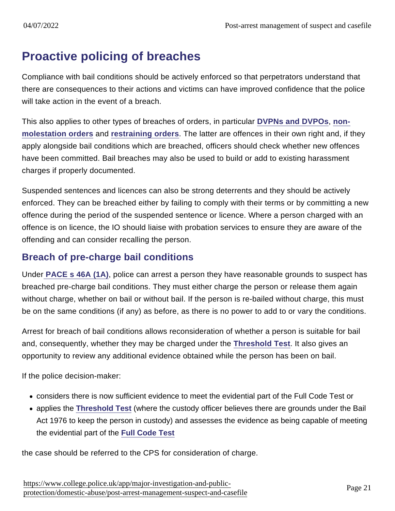## Proactive policing of breaches

Compliance with bail conditions should be actively enforced so that perpetrators understand that there are consequences to their actions and victims can have improved confidence that the police will take action in the event of a breach.

This also applies to other types of breaches of orders, in particular [DVPNs and DVPOs](https://www.app.college.police.uk/app-content/major-investigation-and-public-protection/domestic-abuse/arrest-and-other-positive-approaches/domestic-violence-protection-notices-and-domestic-violence-protection-orders/) , [non](https://www.app.college.police.uk/app-content/major-investigation-and-public-protection/domestic-abuse/arrest-and-other-positive-approaches/#civil-orders)[molestation orders](https://www.app.college.police.uk/app-content/major-investigation-and-public-protection/domestic-abuse/arrest-and-other-positive-approaches/#civil-orders) and [restraining orders](https://www.app.college.police.uk/app-content/major-investigation-and-public-protection/domestic-abuse/victim-safety-and-support/#victim8217s-views-on-a-restraining-order) . The latter are offences in their own right and, if they apply alongside bail conditions which are breached, officers should check whether new offences have been committed. Bail breaches may also be used to build or add to existing harassment charges if properly documented.

Suspended sentences and licences can also be strong deterrents and they should be actively enforced. They can be breached either by failing to comply with their terms or by committing a new offence during the period of the suspended sentence or licence. Where a person charged with an offence is on licence, the IO should liaise with probation services to ensure they are aware of the offending and can consider recalling the person.

### Breach of pre-charge bail conditions

Unde[r PACE s 46A \(1A\)](http://www.legislation.gov.uk/ukpga/1984/60/section/46A) , police can arrest a person they have reasonable grounds to suspect has breached pre-charge bail conditions. They must either charge the person or release them again without charge, whether on bail or without bail. If the person is re-bailed without charge, this must be on the same conditions (if any) as before, as there is no power to add to or vary the conditions.

Arrest for breach of bail conditions allows reconsideration of whether a person is suitable for bail and, consequently, whether they may be charged under the [Threshold Test](http://www.cps.gov.uk/publications/code_for_crown_prosecutors/threshold.html) . It also gives an opportunity to review any additional evidence obtained while the person has been on bail.

If the police decision-maker:

- considers there is now sufficient evidence to meet the evidential part of the Full Code Test or
- applies the [Threshold Test](http://www.cps.gov.uk/publications/code_for_crown_prosecutors/threshold.html) (where the custody officer believes there are grounds under the Bail Act 1976 to keep the person in custody) and assesses the evidence as being capable of meeting the evidential part of the [Full Code Test](http://www.cps.gov.uk/publications/code_for_crown_prosecutors/codetest.html)

the case should be referred to the CPS for consideration of charge.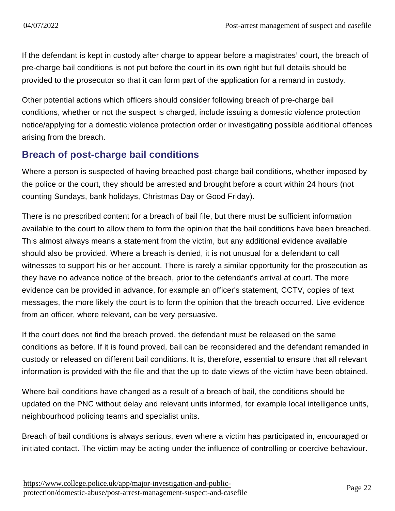If the defendant is kept in custody after charge to appear before a magistrates' court, the breach of pre-charge bail conditions is not put before the court in its own right but full details should be provided to the prosecutor so that it can form part of the application for a remand in custody.

Other potential actions which officers should consider following breach of pre-charge bail conditions, whether or not the suspect is charged, include issuing a domestic violence protection notice/applying for a domestic violence protection order or investigating possible additional offences arising from the breach.

### Breach of post-charge bail conditions

Where a person is suspected of having breached post-charge bail conditions, whether imposed by the police or the court, they should be arrested and brought before a court within 24 hours (not counting Sundays, bank holidays, Christmas Day or Good Friday).

There is no prescribed content for a breach of bail file, but there must be sufficient information available to the court to allow them to form the opinion that the bail conditions have been breached. This almost always means a statement from the victim, but any additional evidence available should also be provided. Where a breach is denied, it is not unusual for a defendant to call witnesses to support his or her account. There is rarely a similar opportunity for the prosecution as they have no advance notice of the breach, prior to the defendant's arrival at court. The more evidence can be provided in advance, for example an officer's statement, CCTV, copies of text messages, the more likely the court is to form the opinion that the breach occurred. Live evidence from an officer, where relevant, can be very persuasive.

If the court does not find the breach proved, the defendant must be released on the same conditions as before. If it is found proved, bail can be reconsidered and the defendant remanded in custody or released on different bail conditions. It is, therefore, essential to ensure that all relevant information is provided with the file and that the up-to-date views of the victim have been obtained.

Where bail conditions have changed as a result of a breach of bail, the conditions should be updated on the PNC without delay and relevant units informed, for example local intelligence units, neighbourhood policing teams and specialist units.

Breach of bail conditions is always serious, even where a victim has participated in, encouraged or initiated contact. The victim may be acting under the influence of controlling or coercive behaviour.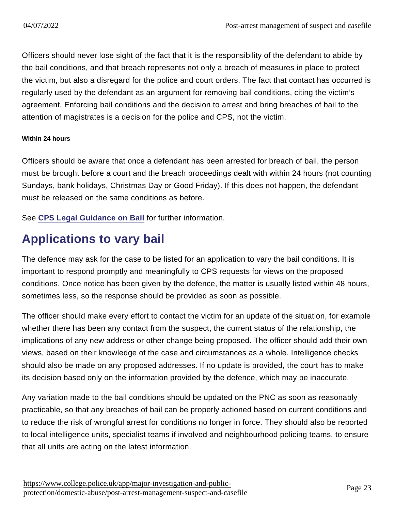Officers should never lose sight of the fact that it is the responsibility of the defendant to abide by the bail conditions, and that breach represents not only a breach of measures in place to protect the victim, but also a disregard for the police and court orders. The fact that contact has occurred is regularly used by the defendant as an argument for removing bail conditions, citing the victim's agreement. Enforcing bail conditions and the decision to arrest and bring breaches of bail to the attention of magistrates is a decision for the police and CPS, not the victim.

#### Within 24 hours

Officers should be aware that once a defendant has been arrested for breach of bail, the person must be brought before a court and the breach proceedings dealt with within 24 hours (not counting Sundays, bank holidays, Christmas Day or Good Friday). If this does not happen, the defendant must be released on the same conditions as before.

See [CPS Legal Guidance on Bail](http://www.cps.gov.uk/legal/a_to_c/bail/#a07) for further information.

## Applications to vary bail

The defence may ask for the case to be listed for an application to vary the bail conditions. It is important to respond promptly and meaningfully to CPS requests for views on the proposed conditions. Once notice has been given by the defence, the matter is usually listed within 48 hours, sometimes less, so the response should be provided as soon as possible.

The officer should make every effort to contact the victim for an update of the situation, for example whether there has been any contact from the suspect, the current status of the relationship, the implications of any new address or other change being proposed. The officer should add their own views, based on their knowledge of the case and circumstances as a whole. Intelligence checks should also be made on any proposed addresses. If no update is provided, the court has to make its decision based only on the information provided by the defence, which may be inaccurate.

Any variation made to the bail conditions should be updated on the PNC as soon as reasonably practicable, so that any breaches of bail can be properly actioned based on current conditions and to reduce the risk of wrongful arrest for conditions no longer in force. They should also be reported to local intelligence units, specialist teams if involved and neighbourhood policing teams, to ensure that all units are acting on the latest information.